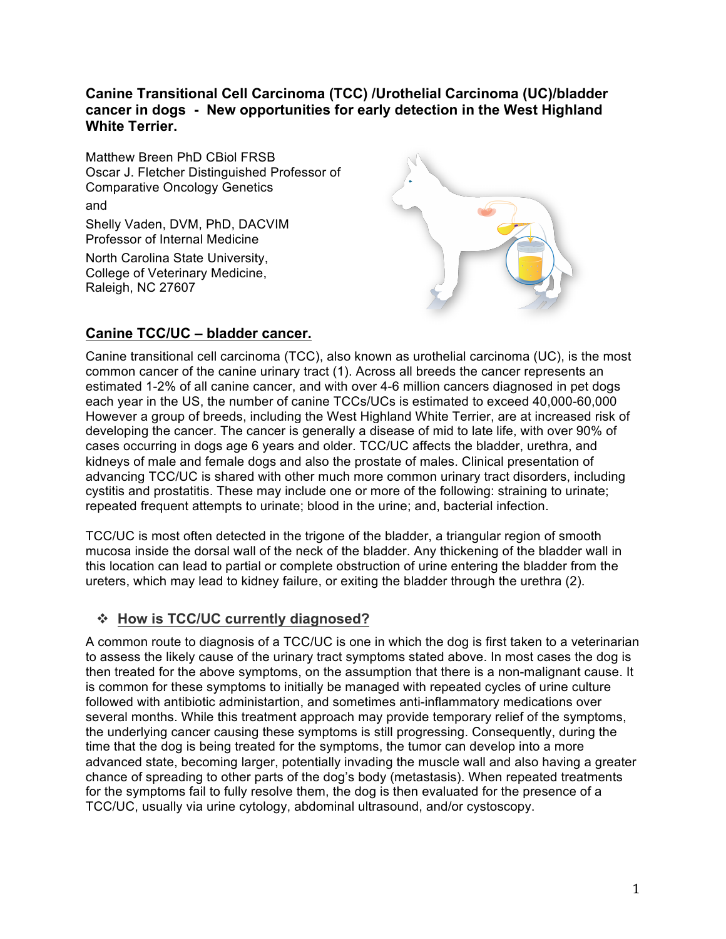## **Canine Transitional Cell Carcinoma (TCC) /Urothelial Carcinoma (UC)/bladder cancer in dogs - New opportunities for early detection in the West Highland White Terrier.**

Matthew Breen PhD CBiol FRSB Oscar J. Fletcher Distinguished Professor of Comparative Oncology Genetics and Shelly Vaden, DVM, PhD, DACVIM Professor of Internal Medicine North Carolina State University, College of Veterinary Medicine, Raleigh, NC 27607



# **Canine TCC/UC – bladder cancer.**

Canine transitional cell carcinoma (TCC), also known as urothelial carcinoma (UC), is the most common cancer of the canine urinary tract (1). Across all breeds the cancer represents an estimated 1-2% of all canine cancer, and with over 4-6 million cancers diagnosed in pet dogs each year in the US, the number of canine TCCs/UCs is estimated to exceed 40,000-60,000 However a group of breeds, including the West Highland White Terrier, are at increased risk of developing the cancer. The cancer is generally a disease of mid to late life, with over 90% of cases occurring in dogs age 6 years and older. TCC/UC affects the bladder, urethra, and kidneys of male and female dogs and also the prostate of males. Clinical presentation of advancing TCC/UC is shared with other much more common urinary tract disorders, including cystitis and prostatitis. These may include one or more of the following: straining to urinate; repeated frequent attempts to urinate; blood in the urine; and, bacterial infection.

TCC/UC is most often detected in the trigone of the bladder, a triangular region of smooth mucosa inside the dorsal wall of the neck of the bladder. Any thickening of the bladder wall in this location can lead to partial or complete obstruction of urine entering the bladder from the ureters, which may lead to kidney failure, or exiting the bladder through the urethra (2).

# ! **How is TCC/UC currently diagnosed?**

A common route to diagnosis of a TCC/UC is one in which the dog is first taken to a veterinarian to assess the likely cause of the urinary tract symptoms stated above. In most cases the dog is then treated for the above symptoms, on the assumption that there is a non-malignant cause. It is common for these symptoms to initially be managed with repeated cycles of urine culture followed with antibiotic administartion, and sometimes anti-inflammatory medications over several months. While this treatment approach may provide temporary relief of the symptoms, the underlying cancer causing these symptoms is still progressing. Consequently, during the time that the dog is being treated for the symptoms, the tumor can develop into a more advanced state, becoming larger, potentially invading the muscle wall and also having a greater chance of spreading to other parts of the dog's body (metastasis). When repeated treatments for the symptoms fail to fully resolve them, the dog is then evaluated for the presence of a TCC/UC, usually via urine cytology, abdominal ultrasound, and/or cystoscopy.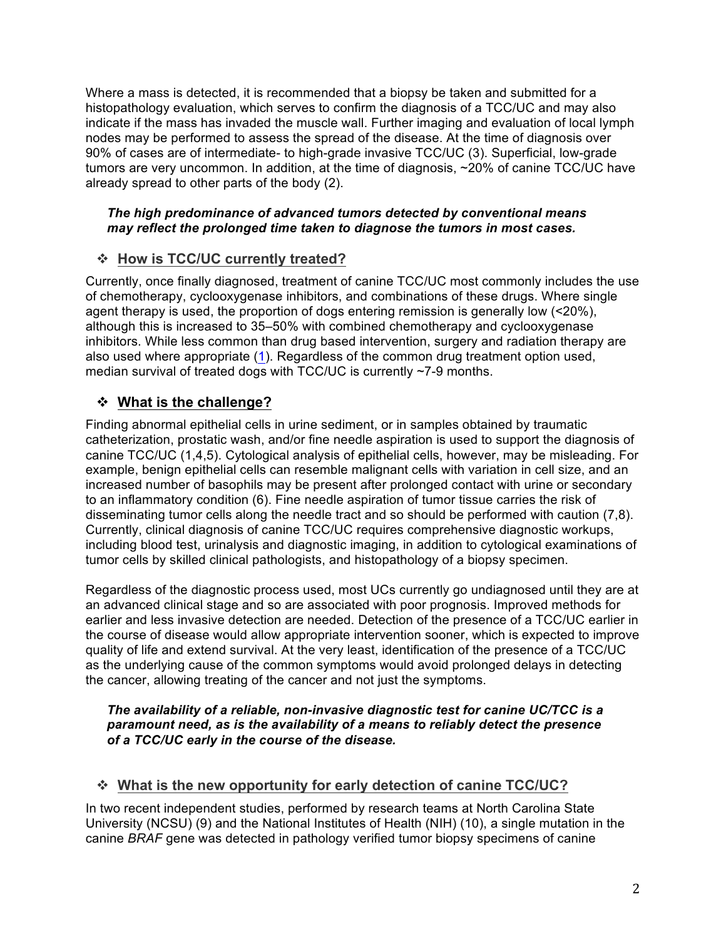Where a mass is detected, it is recommended that a biopsy be taken and submitted for a histopathology evaluation, which serves to confirm the diagnosis of a TCC/UC and may also indicate if the mass has invaded the muscle wall. Further imaging and evaluation of local lymph nodes may be performed to assess the spread of the disease. At the time of diagnosis over 90% of cases are of intermediate- to high-grade invasive TCC/UC (3). Superficial, low-grade tumors are very uncommon. In addition, at the time of diagnosis, ~20% of canine TCC/UC have already spread to other parts of the body (2).

#### *The high predominance of advanced tumors detected by conventional means may reflect the prolonged time taken to diagnose the tumors in most cases.*

## ! **How is TCC/UC currently treated?**

Currently, once finally diagnosed, treatment of canine TCC/UC most commonly includes the use of chemotherapy, cyclooxygenase inhibitors, and combinations of these drugs. Where single agent therapy is used, the proportion of dogs entering remission is generally low (<20%), although this is increased to 35–50% with combined chemotherapy and cyclooxygenase inhibitors. While less common than drug based intervention, surgery and radiation therapy are also used where appropriate (1). Regardless of the common drug treatment option used, median survival of treated dogs with TCC/UC is currently ~7-9 months.

# ! **What is the challenge?**

Finding abnormal epithelial cells in urine sediment, or in samples obtained by traumatic catheterization, prostatic wash, and/or fine needle aspiration is used to support the diagnosis of canine TCC/UC (1,4,5). Cytological analysis of epithelial cells, however, may be misleading. For example, benign epithelial cells can resemble malignant cells with variation in cell size, and an increased number of basophils may be present after prolonged contact with urine or secondary to an inflammatory condition (6). Fine needle aspiration of tumor tissue carries the risk of disseminating tumor cells along the needle tract and so should be performed with caution (7,8). Currently, clinical diagnosis of canine TCC/UC requires comprehensive diagnostic workups, including blood test, urinalysis and diagnostic imaging, in addition to cytological examinations of tumor cells by skilled clinical pathologists, and histopathology of a biopsy specimen.

Regardless of the diagnostic process used, most UCs currently go undiagnosed until they are at an advanced clinical stage and so are associated with poor prognosis. Improved methods for earlier and less invasive detection are needed. Detection of the presence of a TCC/UC earlier in the course of disease would allow appropriate intervention sooner, which is expected to improve quality of life and extend survival. At the very least, identification of the presence of a TCC/UC as the underlying cause of the common symptoms would avoid prolonged delays in detecting the cancer, allowing treating of the cancer and not just the symptoms.

#### *The availability of a reliable, non-invasive diagnostic test for canine UC/TCC is a paramount need, as is the availability of a means to reliably detect the presence of a TCC/UC early in the course of the disease.*

## ! **What is the new opportunity for early detection of canine TCC/UC?**

In two recent independent studies, performed by research teams at North Carolina State University (NCSU) (9) and the National Institutes of Health (NIH) (10), a single mutation in the canine *BRAF* gene was detected in pathology verified tumor biopsy specimens of canine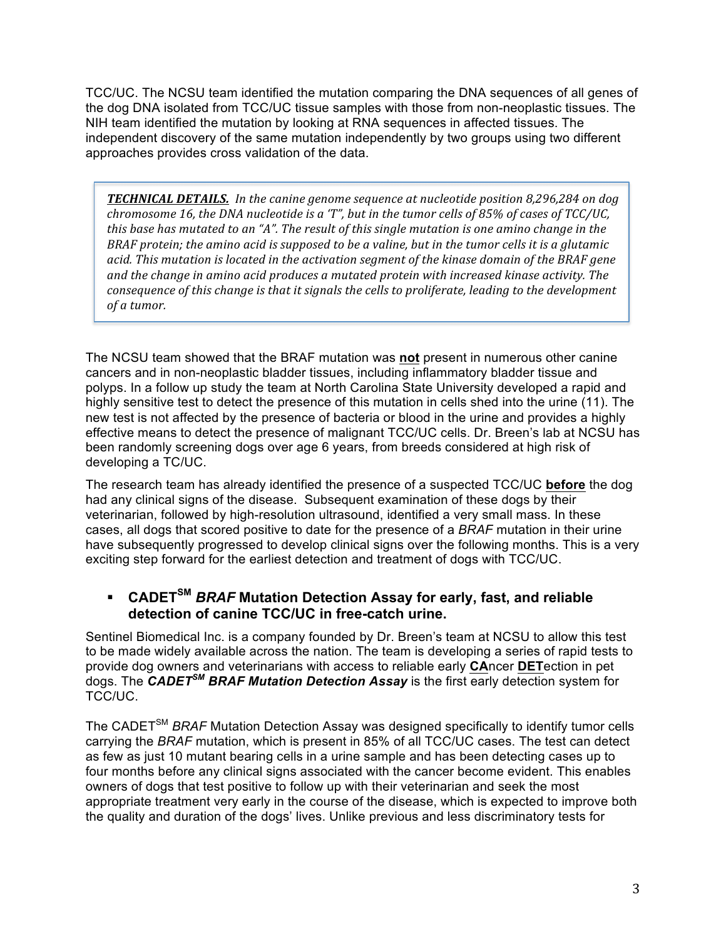TCC/UC. The NCSU team identified the mutation comparing the DNA sequences of all genes of the dog DNA isolated from TCC/UC tissue samples with those from non-neoplastic tissues. The NIH team identified the mutation by looking at RNA sequences in affected tissues. The independent discovery of the same mutation independently by two groups using two different approaches provides cross validation of the data.

**TECHNICAL DETAILS.** In the canine genome sequence at nucleotide position 8,296,284 on dog *chromosome* 16, the DNA nucleotide is a 'T", but in the tumor cells of 85% of cases of TCC/UC, this base has mutated to an "A". The result of this single mutation is one amino change in the *BRAF* protein; the amino acid is supposed to be a valine, but in the tumor cells it is a glutamic acid. This mutation is located in the activation segment of the kinase domain of the BRAF gene and the change in amino acid produces a mutated protein with increased kinase activity. The *consequence of this change is that it signals the cells to proliferate, leading to the development* of a tumor.

The NCSU team showed that the BRAF mutation was **not** present in numerous other canine cancers and in non-neoplastic bladder tissues, including inflammatory bladder tissue and polyps. In a follow up study the team at North Carolina State University developed a rapid and highly sensitive test to detect the presence of this mutation in cells shed into the urine (11). The new test is not affected by the presence of bacteria or blood in the urine and provides a highly effective means to detect the presence of malignant TCC/UC cells. Dr. Breen's lab at NCSU has been randomly screening dogs over age 6 years, from breeds considered at high risk of developing a TC/UC.

The research team has already identified the presence of a suspected TCC/UC **before** the dog had any clinical signs of the disease. Subsequent examination of these dogs by their veterinarian, followed by high-resolution ultrasound, identified a very small mass. In these cases, all dogs that scored positive to date for the presence of a *BRAF* mutation in their urine have subsequently progressed to develop clinical signs over the following months. This is a very exciting step forward for the earliest detection and treatment of dogs with TCC/UC.

# " **CADETSM** *BRAF* **Mutation Detection Assay for early, fast, and reliable detection of canine TCC/UC in free-catch urine.**

Sentinel Biomedical Inc. is a company founded by Dr. Breen's team at NCSU to allow this test to be made widely available across the nation. The team is developing a series of rapid tests to provide dog owners and veterinarians with access to reliable early **CA**ncer **DET**ection in pet dogs. The *CADETSM BRAF Mutation Detection Assay* is the first early detection system for TCC/UC.

The CADET<sup>SM</sup> BRAF Mutation Detection Assay was designed specifically to identify tumor cells carrying the *BRAF* mutation, which is present in 85% of all TCC/UC cases. The test can detect as few as just 10 mutant bearing cells in a urine sample and has been detecting cases up to four months before any clinical signs associated with the cancer become evident. This enables owners of dogs that test positive to follow up with their veterinarian and seek the most appropriate treatment very early in the course of the disease, which is expected to improve both the quality and duration of the dogs' lives. Unlike previous and less discriminatory tests for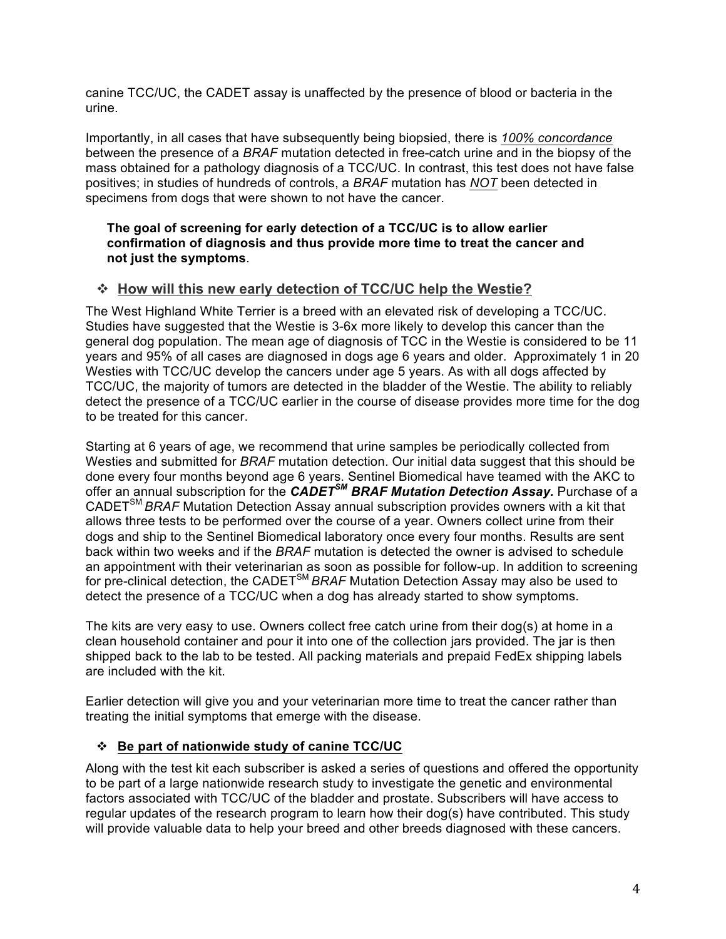canine TCC/UC, the CADET assay is unaffected by the presence of blood or bacteria in the urine.

Importantly, in all cases that have subsequently being biopsied, there is *100% concordance* between the presence of a *BRAF* mutation detected in free-catch urine and in the biopsy of the mass obtained for a pathology diagnosis of a TCC/UC. In contrast, this test does not have false positives; in studies of hundreds of controls, a *BRAF* mutation has *NOT* been detected in specimens from dogs that were shown to not have the cancer.

#### **The goal of screening for early detection of a TCC/UC is to allow earlier confirmation of diagnosis and thus provide more time to treat the cancer and not just the symptoms**.

## ! **How will this new early detection of TCC/UC help the Westie?**

The West Highland White Terrier is a breed with an elevated risk of developing a TCC/UC. Studies have suggested that the Westie is 3-6x more likely to develop this cancer than the general dog population. The mean age of diagnosis of TCC in the Westie is considered to be 11 years and 95% of all cases are diagnosed in dogs age 6 years and older. Approximately 1 in 20 Westies with TCC/UC develop the cancers under age 5 years. As with all dogs affected by TCC/UC, the majority of tumors are detected in the bladder of the Westie. The ability to reliably detect the presence of a TCC/UC earlier in the course of disease provides more time for the dog to be treated for this cancer.

Starting at 6 years of age, we recommend that urine samples be periodically collected from Westies and submitted for *BRAF* mutation detection. Our initial data suggest that this should be done every four months beyond age 6 years. Sentinel Biomedical have teamed with the AKC to offer an annual subscription for the *CADETSM BRAF Mutation Detection Assay.* Purchase of a CADETSM *BRAF* Mutation Detection Assay annual subscription provides owners with a kit that allows three tests to be performed over the course of a year. Owners collect urine from their dogs and ship to the Sentinel Biomedical laboratory once every four months. Results are sent back within two weeks and if the *BRAF* mutation is detected the owner is advised to schedule an appointment with their veterinarian as soon as possible for follow-up. In addition to screening for pre-clinical detection, the CADET<sup>SM</sup> BRAF Mutation Detection Assay may also be used to detect the presence of a TCC/UC when a dog has already started to show symptoms.

The kits are very easy to use. Owners collect free catch urine from their dog(s) at home in a clean household container and pour it into one of the collection jars provided. The jar is then shipped back to the lab to be tested. All packing materials and prepaid FedEx shipping labels are included with the kit.

Earlier detection will give you and your veterinarian more time to treat the cancer rather than treating the initial symptoms that emerge with the disease.

## ! **Be part of nationwide study of canine TCC/UC**

Along with the test kit each subscriber is asked a series of questions and offered the opportunity to be part of a large nationwide research study to investigate the genetic and environmental factors associated with TCC/UC of the bladder and prostate. Subscribers will have access to regular updates of the research program to learn how their dog(s) have contributed. This study will provide valuable data to help your breed and other breeds diagnosed with these cancers.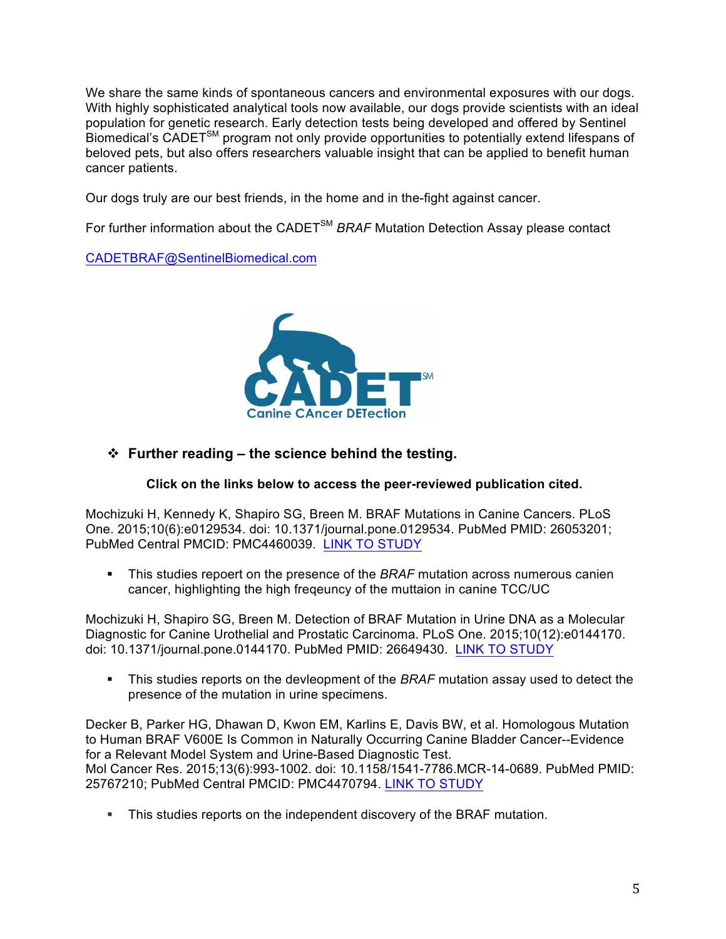We share the same kinds of spontaneous cancers and environmental exposures with our dogs. With highly sophisticated analytical tools now available, our dogs provide scientists with an ideal population for genetic research. Early detection tests being developed and offered by Sentinel Biomedical's CADET<sup>SM</sup> program not only provide opportunities to potentially extend lifespans of beloved pets, but also offers researchers valuable insight that can be applied to benefit human cancer patients.

Our dogs truly are our best friends, in the home and in the-fight against cancer.

For further information about the CADET<sup>SM</sup> BRAF Mutation Detection Assay please contact

CADETBRAF@SentinelBiomedical.com



! **Further reading – the science behind the testing.**

#### **Click on the links below to access the peer-reviewed publication cited.**

Mochizuki H, Kennedy K, Shapiro SG, Breen M. BRAF Mutations in Canine Cancers. PLoS One. 2015;10(6):e0129534. doi: 10.1371/journal.pone.0129534. PubMed PMID: 26053201; PubMed Central PMCID: PMC4460039. LINK TO STUDY

" This studies repoert on the presence of the *BRAF* mutation across numerous canien cancer, highlighting the high freqeuncy of the muttaion in canine TCC/UC

Mochizuki H, Shapiro SG, Breen M. Detection of BRAF Mutation in Urine DNA as a Molecular Diagnostic for Canine Urothelial and Prostatic Carcinoma. PLoS One. 2015;10(12):e0144170. doi: 10.1371/journal.pone.0144170. PubMed PMID: 26649430. LINK TO STUDY

" This studies reports on the devleopment of the *BRAF* mutation assay used to detect the presence of the mutation in urine specimens.

Decker B, Parker HG, Dhawan D, Kwon EM, Karlins E, Davis BW, et al. Homologous Mutation to Human BRAF V600E Is Common in Naturally Occurring Canine Bladder Cancer--Evidence for a Relevant Model System and Urine-Based Diagnostic Test. Mol Cancer Res. 2015;13(6):993-1002. doi: 10.1158/1541-7786.MCR-14-0689. PubMed PMID: 25767210; PubMed Central PMCID: PMC4470794. LINK TO STUDY

" This studies reports on the independent discovery of the BRAF mutation.